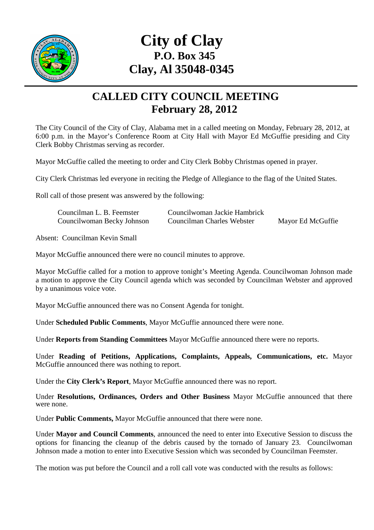

## **City of Clay P.O. Box 345 Clay, Al 35048-0345**

## **CALLED CITY COUNCIL MEETING February 28, 2012**

The City Council of the City of Clay, Alabama met in a called meeting on Monday, February 28, 2012, at 6:00 p.m. in the Mayor's Conference Room at City Hall with Mayor Ed McGuffie presiding and City Clerk Bobby Christmas serving as recorder.

Mayor McGuffie called the meeting to order and City Clerk Bobby Christmas opened in prayer.

City Clerk Christmas led everyone in reciting the Pledge of Allegiance to the flag of the United States.

Roll call of those present was answered by the following:

| Councilman L. B. Feemster  | Councilwoman Jackie Hambrick |                   |
|----------------------------|------------------------------|-------------------|
| Councilwoman Becky Johnson | Councilman Charles Webster   | Mayor Ed McGuffie |

Absent: Councilman Kevin Small

Mayor McGuffie announced there were no council minutes to approve.

Mayor McGuffie called for a motion to approve tonight's Meeting Agenda. Councilwoman Johnson made a motion to approve the City Council agenda which was seconded by Councilman Webster and approved by a unanimous voice vote.

Mayor McGuffie announced there was no Consent Agenda for tonight.

Under **Scheduled Public Comments**, Mayor McGuffie announced there were none.

Under **Reports from Standing Committees** Mayor McGuffie announced there were no reports.

Under **Reading of Petitions, Applications, Complaints, Appeals, Communications, etc.** Mayor McGuffie announced there was nothing to report.

Under the **City Clerk's Report**, Mayor McGuffie announced there was no report.

Under **Resolutions, Ordinances, Orders and Other Business** Mayor McGuffie announced that there were none.

Under **Public Comments,** Mayor McGuffie announced that there were none.

Under **Mayor and Council Comments**, announced the need to enter into Executive Session to discuss the options for financing the cleanup of the debris caused by the tornado of January 23. Councilwoman Johnson made a motion to enter into Executive Session which was seconded by Councilman Feemster.

The motion was put before the Council and a roll call vote was conducted with the results as follows: